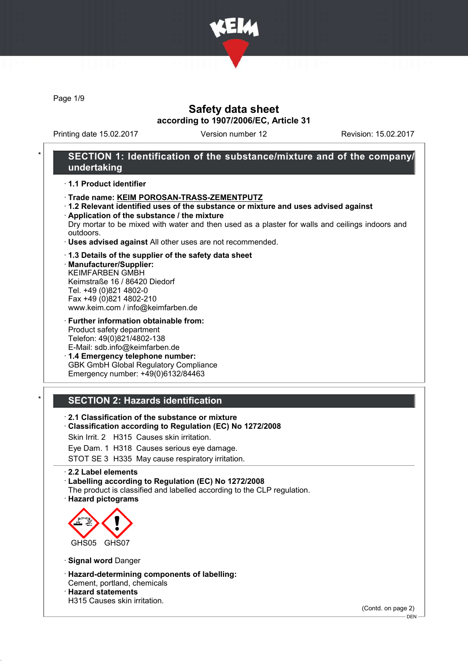

Page 1/9

## Safety data sheet according to 1907/2006/EC, Article 31

Printing date 15.02.2017 Version number 12 Revision: 15.02.2017

## SECTION 1: Identification of the substance/mixture and of the company/ undertaking

#### · 1.1 Product identifier

- · Trade name: KEIM POROSAN-TRASS-ZEMENTPUTZ
- · 1.2 Relevant identified uses of the substance or mixture and uses advised against · Application of the substance / the mixture
- Dry mortar to be mixed with water and then used as a plaster for walls and ceilings indoors and outdoors.
- · Uses advised against All other uses are not recommended.

#### · 1.3 Details of the supplier of the safety data sheet

· Manufacturer/Supplier: KEIMFARBEN GMBH Keimstraße 16 / 86420 Diedorf Tel. +49 (0)821 4802-0 Fax +49 (0)821 4802-210 www.keim.com / info@keimfarben.de

· Further information obtainable from: Product safety department Telefon: 49(0)821/4802-138 E-Mail: sdb.info@keimfarben.de

· 1.4 Emergency telephone number: GBK GmbH Global Regulatory Compliance Emergency number: +49(0)6132/84463

### **SECTION 2: Hazards identification**

- · 2.1 Classification of the substance or mixture
- · Classification according to Regulation (EC) No 1272/2008
- Skin Irrit. 2 H315 Causes skin irritation.
- Eye Dam. 1 H318 Causes serious eye damage.
- STOT SE 3 H335 May cause respiratory irritation.

#### · 2.2 Label elements

· Labelling according to Regulation (EC) No 1272/2008

- The product is classified and labelled according to the CLP regulation.
- · Hazard pictograms



- · Signal word Danger
- · Hazard-determining components of labelling: Cement, portland, chemicals

· Hazard statements

H315 Causes skin irritation.

(Contd. on page 2)

DEN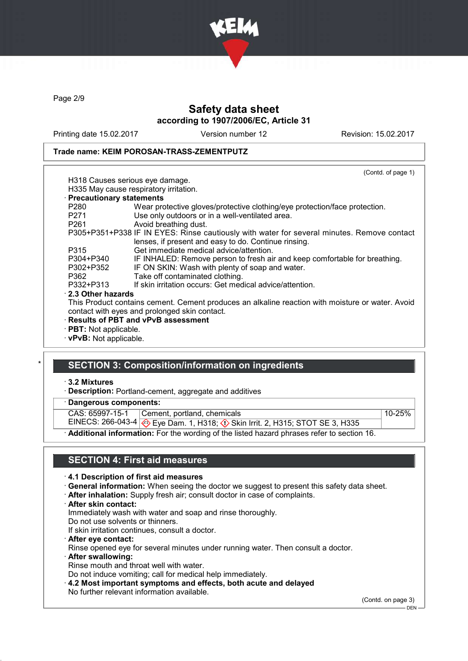

Page 2/9

## Safety data sheet according to 1907/2006/EC, Article 31

Printing date 15.02.2017 Version number 12 Revision: 15.02.2017

#### Trade name: KEIM POROSAN-TRASS-ZEMENTPUTZ

|                              | (Contd. of page 1)                                                                               |
|------------------------------|--------------------------------------------------------------------------------------------------|
|                              | H318 Causes serious eye damage.                                                                  |
|                              | H335 May cause respiratory irritation.                                                           |
| · Precautionary statements   |                                                                                                  |
| P280                         | Wear protective gloves/protective clothing/eye protection/face protection.                       |
| P271                         | Use only outdoors or in a well-ventilated area.                                                  |
| P261                         | Avoid breathing dust.                                                                            |
|                              | P305+P351+P338 IF IN EYES: Rinse cautiously with water for several minutes. Remove contact       |
|                              | lenses, if present and easy to do. Continue rinsing.                                             |
| P315                         | Get immediate medical advice/attention.                                                          |
| P304+P340                    | IF INHALED: Remove person to fresh air and keep comfortable for breathing.                       |
| P302+P352                    | IF ON SKIN: Wash with plenty of soap and water.                                                  |
| P362                         | Take off contaminated clothing.                                                                  |
| P332+P313                    | If skin irritation occurs: Get medical advice/attention.                                         |
| $\cdot$ 2.3 Other hazards    |                                                                                                  |
|                              | This Product contains cement. Cement produces an alkaline reaction with moisture or water. Avoid |
|                              | contact with eyes and prolonged skin contact.                                                    |
|                              | · Results of PBT and vPvB assessment                                                             |
| $\cdot$ PBT: Not applicable. |                                                                                                  |
| · vPvB: Not applicable.      |                                                                                                  |

### **SECTION 3: Composition/information on ingredients**

### · 3.2 Mixtures

· Description: Portland-cement, aggregate and additives

Dangerous components:

CAS: 65997-15-1 Cement, portland, chemicals 10-25%

Additional information: For the wording of the listed hazard phrases refer to section 16.

EINECS: 266-043-4 <mark>◈</mark> Eye Dam. 1, H318; ♦ Skin Irrit. 2, H315; STOT SE 3, H335

### SECTION 4: First aid measures

#### · 4.1 Description of first aid measures

- · General information: When seeing the doctor we suggest to present this safety data sheet.
- · After inhalation: Supply fresh air; consult doctor in case of complaints.
- · After skin contact:

Immediately wash with water and soap and rinse thoroughly.

Do not use solvents or thinners.

- If skin irritation continues, consult a doctor.
- · After eye contact: Rinse opened eye for several minutes under running water. Then consult a doctor.
- · After swallowing:
- Rinse mouth and throat well with water.

Do not induce vomiting; call for medical help immediately.

· 4.2 Most important symptoms and effects, both acute and delayed No further relevant information available.

(Contd. on page 3)

 $-$  DEN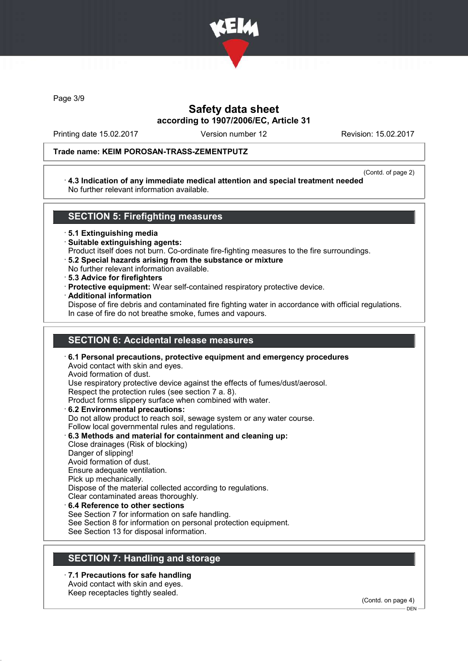

Page 3/9

## Safety data sheet according to 1907/2006/EC, Article 31

Printing date 15.02.2017 Version number 12 Revision: 15.02.2017

#### Trade name: KEIM POROSAN-TRASS-ZEMENTPUTZ

(Contd. of page 2) · 4.3 Indication of any immediate medical attention and special treatment needed No further relevant information available.

### SECTION 5: Firefighting measures

· 5.1 Extinguishing media

- · Suitable extinguishing agents:
- Product itself does not burn. Co-ordinate fire-fighting measures to the fire surroundings.
- · 5.2 Special hazards arising from the substance or mixture
- No further relevant information available.
- · 5.3 Advice for firefighters
- · Protective equipment: Wear self-contained respiratory protective device.
- · Additional information

Dispose of fire debris and contaminated fire fighting water in accordance with official regulations. In case of fire do not breathe smoke, fumes and vapours.

## SECTION 6: Accidental release measures

· 6.1 Personal precautions, protective equipment and emergency procedures Avoid contact with skin and eyes. Avoid formation of dust. Use respiratory protective device against the effects of fumes/dust/aerosol. Respect the protection rules (see section 7 a. 8). Product forms slippery surface when combined with water. · 6.2 Environmental precautions: Do not allow product to reach soil, sewage system or any water course. Follow local governmental rules and regulations. · 6.3 Methods and material for containment and cleaning up: Close drainages (Risk of blocking) Danger of slipping! Avoid formation of dust. Ensure adequate ventilation. Pick up mechanically. Dispose of the material collected according to regulations.

- Clear contaminated areas thoroughly.
- 6.4 Reference to other sections See Section 7 for information on safe handling.
- 
- See Section 8 for information on personal protection equipment.
- See Section 13 for disposal information.

## SECTION 7: Handling and storage

· 7.1 Precautions for safe handling Avoid contact with skin and eyes.

Keep receptacles tightly sealed.

(Contd. on page 4)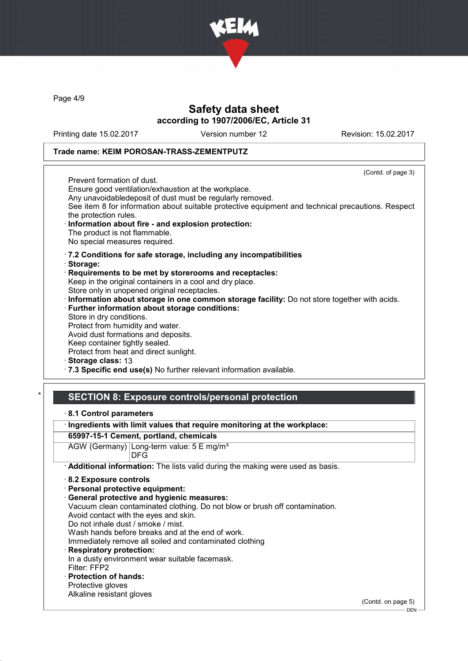

Page 4/9

## Safety data sheet according to 1907/2006/EC, Article 31

Printing date 15.02.2017 Version number 12 Revision: 15.02.2017

#### Trade name: KEIM POROSAN-TRASS-ZEMENTPUTZ

(Contd. of page 3) Prevent formation of dust. Ensure good ventilation/exhaustion at the workplace. Any unavoidabledeposit of dust must be regularly removed. See item 8 for information about suitable protective equipment and technical precautions. Respect the protection rules. Information about fire - and explosion protection: The product is not flammable. No special measures required. · 7.2 Conditions for safe storage, including any incompatibilities · Storage: · Requirements to be met by storerooms and receptacles: Keep in the original containers in a cool and dry place. Store only in unopened original receptacles. · Information about storage in one common storage facility: Do not store together with acids. · Further information about storage conditions: Store in dry conditions. Protect from humidity and water. Avoid dust formations and deposits. Keep container tightly sealed. Protect from heat and direct sunlight. Storage class: 13

· 7.3 Specific end use(s) No further relevant information available.

### SECTION 8: Exposure controls/personal protection

- · 8.1 Control parameters
- · Ingredients with limit values that require monitoring at the workplace:

### 65997-15-1 Cement, portland, chemicals

- AGW (Germany) Long-term value: 5 E mg/m<sup>3</sup> DFG
- · Additional information: The lists valid during the making were used as basis.
- · 8.2 Exposure controls
- · Personal protective equipment:
- General protective and hygienic measures:
- Vacuum clean contaminated clothing. Do not blow or brush off contamination.
- Avoid contact with the eyes and skin.
- Do not inhale dust / smoke / mist.
- Wash hands before breaks and at the end of work.
- Immediately remove all soiled and contaminated clothing
- Respiratory protection: In a dusty environment wear suitable facemask. Filter: FFP2
- · Protection of hands:
- Protective gloves Alkaline resistant gloves

(Contd. on page 5)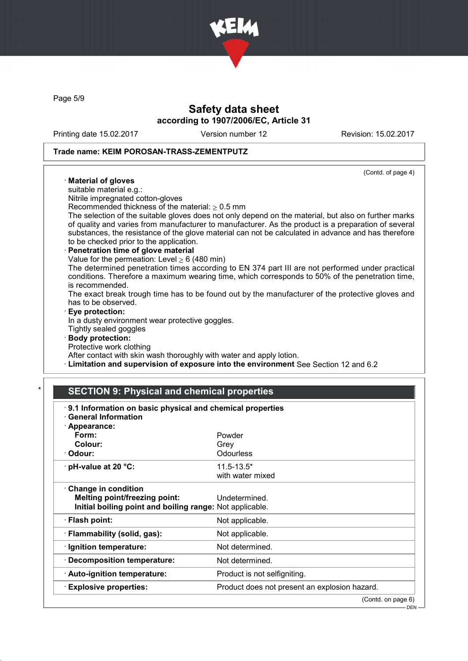

Page 5/9

## Safety data sheet according to 1907/2006/EC, Article 31

Printing date 15.02.2017 Version number 12 Revision: 15.02.2017

### Trade name: KEIM POROSAN-TRASS-ZEMENTPUTZ

(Contd. of page 4) · Material of gloves suitable material e.g.: Nitrile impregnated cotton-gloves Recommended thickness of the material:  $> 0.5$  mm The selection of the suitable gloves does not only depend on the material, but also on further marks of quality and varies from manufacturer to manufacturer. As the product is a preparation of several substances, the resistance of the glove material can not be calculated in advance and has therefore to be checked prior to the application. Penetration time of glove material Value for the permeation: Level  $\geq 6$  (480 min) The determined penetration times according to EN 374 part III are not performed under practical conditions. Therefore a maximum wearing time, which corresponds to 50% of the penetration time, is recommended. The exact break trough time has to be found out by the manufacturer of the protective gloves and has to be observed. Eye protection: In a dusty environment wear protective goggles. Tightly sealed goggles · Body protection: Protective work clothing After contact with skin wash thoroughly with water and apply lotion.

· Limitation and supervision of exposure into the environment See Section 12 and 6.2

### **SECTION 9: Physical and chemical properties**

| 9.1 Information on basic physical and chemical properties<br><b>General Information</b><br>· Appearance: |                                               |
|----------------------------------------------------------------------------------------------------------|-----------------------------------------------|
| Form:                                                                                                    | Powder                                        |
| Colour:                                                                                                  | Grev                                          |
| · Odour:                                                                                                 | Odourless                                     |
| $\cdot$ pH-value at 20 $\degree$ C:                                                                      | $11.5 - 13.5*$                                |
|                                                                                                          | with water mixed                              |
| Change in condition                                                                                      |                                               |
| Melting point/freezing point:                                                                            | Undetermined.                                 |
| Initial boiling point and boiling range: Not applicable.                                                 |                                               |
| $\cdot$ Flash point:                                                                                     | Not applicable.                               |
| · Flammability (solid, gas):                                                                             | Not applicable.                               |
| · Ignition temperature:                                                                                  | Not determined.                               |
| $\cdot$ Decomposition temperature:                                                                       | Not determined.                               |
| · Auto-ignition temperature:                                                                             | Product is not selfigniting.                  |
| <b>Explosive properties:</b>                                                                             | Product does not present an explosion hazard. |
|                                                                                                          | (Contd. on page 6)                            |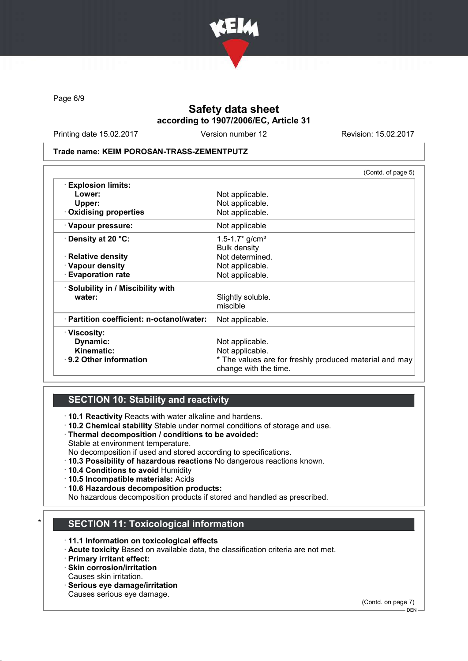

Page 6/9

# Safety data sheet according to 1907/2006/EC, Article 31

Printing date 15.02.2017 Version number 12 Revision: 15.02.2017

#### Trade name: KEIM POROSAN-TRASS-ZEMENTPUTZ

|                                           | (Contd. of page 5)                                                              |
|-------------------------------------------|---------------------------------------------------------------------------------|
| <b>Explosion limits:</b>                  |                                                                                 |
| Lower:                                    | Not applicable.                                                                 |
| Upper:                                    | Not applicable.                                                                 |
| . Oxidising properties                    | Not applicable.                                                                 |
| · Vapour pressure:                        | Not applicable                                                                  |
| $\cdot$ Density at 20 °C:                 | 1.5-1.7* $g/cm^{3}$                                                             |
|                                           | <b>Bulk density</b>                                                             |
| $\cdot$ Relative density                  | Not determined.                                                                 |
| · Vapour density                          | Not applicable.                                                                 |
| <b>Evaporation rate</b>                   | Not applicable.                                                                 |
| · Solubility in / Miscibility with        |                                                                                 |
| water:                                    | Slightly soluble.                                                               |
|                                           | miscible                                                                        |
| · Partition coefficient: n-octanol/water: | Not applicable.                                                                 |
| · Viscosity:                              |                                                                                 |
| Dynamic:                                  | Not applicable.                                                                 |
| Kinematic:                                | Not applicable.                                                                 |
| $\cdot$ 9.2 Other information             | * The values are for freshly produced material and may<br>change with the time. |

## SECTION 10: Stability and reactivity

· 10.1 Reactivity Reacts with water alkaline and hardens.

- · 10.2 Chemical stability Stable under normal conditions of storage and use.
- · Thermal decomposition / conditions to be avoided:
- Stable at environment temperature.
- No decomposition if used and stored according to specifications.
- · 10.3 Possibility of hazardous reactions No dangerous reactions known.
- · 10.4 Conditions to avoid Humidity
- · 10.5 Incompatible materials: Acids
- · 10.6 Hazardous decomposition products:

No hazardous decomposition products if stored and handled as prescribed.

## **SECTION 11: Toxicological information**

- · 11.1 Information on toxicological effects
- · Acute toxicity Based on available data, the classification criteria are not met.
- · Primary irritant effect:
- · Skin corrosion/irritation
- Causes skin irritation.
- · Serious eye damage/irritation Causes serious eye damage.

(Contd. on page 7)

DEN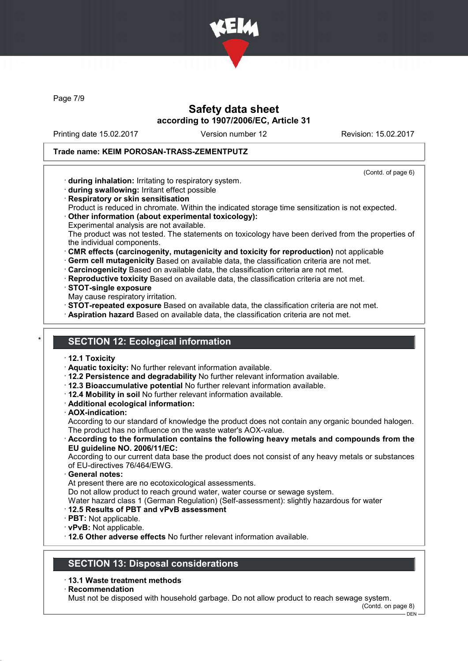

Page 7/9

## Safety data sheet according to 1907/2006/EC, Article 31

Printing date 15.02.2017 Version number 12 Revision: 15.02.2017

### Trade name: KEIM POROSAN-TRASS-ZEMENTPUTZ

(Contd. of page 6) · during inhalation: Irritating to respiratory system. · during swallowing: Irritant effect possible · Respiratory or skin sensitisation Product is reduced in chromate. Within the indicated storage time sensitization is not expected. · Other information (about experimental toxicology): Experimental analysis are not available. The product was not tested. The statements on toxicology have been derived from the properties of the individual components. · CMR effects (carcinogenity, mutagenicity and toxicity for reproduction) not applicable · Germ cell mutagenicity Based on available data, the classification criteria are not met. · Carcinogenicity Based on available data, the classification criteria are not met. · Reproductive toxicity Based on available data, the classification criteria are not met. · STOT-single exposure May cause respiratory irritation. · STOT-repeated exposure Based on available data, the classification criteria are not met. · Aspiration hazard Based on available data, the classification criteria are not met. **SECTION 12: Ecological information** · 12.1 Toxicity · Aquatic toxicity: No further relevant information available. · 12.2 Persistence and degradability No further relevant information available. · 12.3 Bioaccumulative potential No further relevant information available. · 12.4 Mobility in soil No further relevant information available. · Additional ecological information: · AOX-indication: According to our standard of knowledge the product does not contain any organic bounded halogen. The product has no influence on the waste water's AOX-value. · According to the formulation contains the following heavy metals and compounds from the EU guideline NO. 2006/11/EC: According to our current data base the product does not consist of any heavy metals or substances of EU-directives 76/464/EWG. General notes: At present there are no ecotoxicological assessments. Do not allow product to reach ground water, water course or sewage system. Water hazard class 1 (German Regulation) (Self-assessment): slightly hazardous for water

- · 12.5 Results of PBT and vPvB assessment
- · PBT: Not applicable.
- · vPvB: Not applicable.

· 12.6 Other adverse effects No further relevant information available.

## SECTION 13: Disposal considerations

### · 13.1 Waste treatment methods

**Recommendation** 

Must not be disposed with household garbage. Do not allow product to reach sewage system.

(Contd. on page 8)

DEN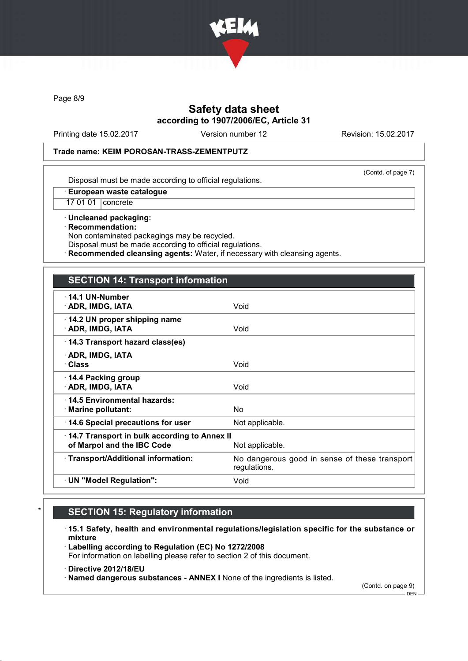

Page 8/9

## Safety data sheet according to 1907/2006/EC, Article 31

Printing date 15.02.2017 Version number 12 Revision: 15.02.2017

#### Trade name: KEIM POROSAN-TRASS-ZEMENTPUTZ

(Contd. of page 7)

Disposal must be made according to official regulations.

· European waste catalogue

17 01 01 concrete

· Uncleaned packaging: · Recommendation: Non contaminated packagings may be recycled.

Disposal must be made according to official regulations.

Recommended cleansing agents: Water, if necessary with cleansing agents.

### SECTION 14: Transport information

| $\cdot$ 14.1 UN-Number<br>· ADR, IMDG, IATA                                                   | Void                                                          |  |
|-----------------------------------------------------------------------------------------------|---------------------------------------------------------------|--|
| 14.2 UN proper shipping name<br>· ADR, IMDG, IATA                                             | Void                                                          |  |
| 14.3 Transport hazard class(es)                                                               |                                                               |  |
| · ADR, IMDG, IATA<br>· Class                                                                  | Void                                                          |  |
| ⋅ 14.4 Packing group<br>· ADR, IMDG, IATA                                                     | Void                                                          |  |
| 14.5 Environmental hazards:<br>· Marine pollutant:                                            | No.                                                           |  |
| 14.6 Special precautions for user                                                             | Not applicable.                                               |  |
| 14.7 Transport in bulk according to Annex II<br>of Marpol and the IBC Code<br>Not applicable. |                                                               |  |
| · Transport/Additional information:                                                           | No dangerous good in sense of these transport<br>regulations. |  |
| · UN "Model Regulation":                                                                      | Void                                                          |  |
|                                                                                               |                                                               |  |

# **SECTION 15: Regulatory information**

· 15.1 Safety, health and environmental regulations/legislation specific for the substance or mixture

· Labelling according to Regulation (EC) No 1272/2008 For information on labelling please refer to section 2 of this document.

· Directive 2012/18/EU

· Named dangerous substances - ANNEX I None of the ingredients is listed.

(Contd. on page 9)

 $-$  DEN